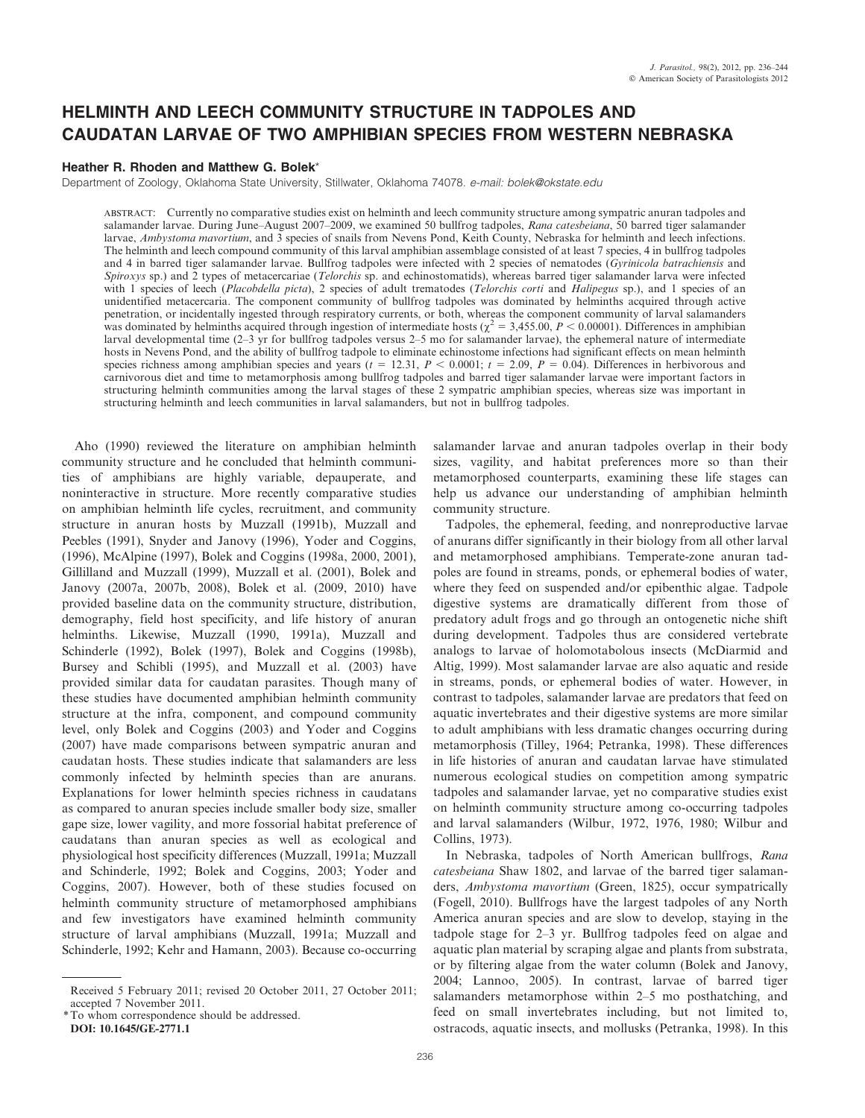# HELMINTH AND LEECH COMMUNITY STRUCTURE IN TADPOLES AND CAUDATAN LARVAE OF TWO AMPHIBIAN SPECIES FROM WESTERN NEBRASKA

# Heather R. Rhoden and Matthew G. Bolek\*

Department of Zoology, Oklahoma State University, Stillwater, Oklahoma 74078. e-mail: bolek@okstate.edu

ABSTRACT: Currently no comparative studies exist on helminth and leech community structure among sympatric anuran tadpoles and salamander larvae. During June–August 2007–2009, we examined 50 bullfrog tadpoles, Rana catesbeiana, 50 barred tiger salamander larvae, Ambystoma mavortium, and 3 species of snails from Nevens Pond, Keith County, Nebraska for helminth and leech infections. The helminth and leech compound community of this larval amphibian assemblage consisted of at least 7 species, 4 in bullfrog tadpoles and 4 in barred tiger salamander larvae. Bullfrog tadpoles were infected with  $\tilde{2}$  species of nematodes (Gyrinicola batrachiensis and Spiroxys sp.) and 2 types of metacercariae (Telorchis sp. and echinostomatids), whereas barred tiger salamander larva were infected with 1 species of leech (Placobdella picta), 2 species of adult trematodes (Telorchis corti and Halipegus sp.), and 1 species of an unidentified metacercaria. The component community of bullfrog tadpoles was dominated by helminths acquired through active penetration, or incidentally ingested through respiratory currents, or both, whereas the component community of larval salamanders was dominated by helminths acquired through ingestion of intermediate hosts ( $\chi^2 = 3,455.00$ ,  $P < 0.00001$ ). Differences in amphibian larval developmental time (2–3 yr for bullfrog tadpoles versus 2–5 mo for salamander larvae), the ephemeral nature of intermediate hosts in Nevens Pond, and the ability of bullfrog tadpole to eliminate echinostome infections had significant effects on mean helminth species richness among amphibian species and years ( $t = 12.31$ ,  $P < 0.0001$ ;  $t = 2.09$ ,  $P = 0.04$ ). Differences in herbivorous and carnivorous diet and time to metamorphosis among bullfrog tadpoles and barred tiger salamander larvae were important factors in structuring helminth communities among the larval stages of these 2 sympatric amphibian species, whereas size was important in structuring helminth and leech communities in larval salamanders, but not in bullfrog tadpoles.

Aho (1990) reviewed the literature on amphibian helminth community structure and he concluded that helminth communities of amphibians are highly variable, depauperate, and noninteractive in structure. More recently comparative studies on amphibian helminth life cycles, recruitment, and community structure in anuran hosts by Muzzall (1991b), Muzzall and Peebles (1991), Snyder and Janovy (1996), Yoder and Coggins, (1996), McAlpine (1997), Bolek and Coggins (1998a, 2000, 2001), Gillilland and Muzzall (1999), Muzzall et al. (2001), Bolek and Janovy (2007a, 2007b, 2008), Bolek et al. (2009, 2010) have provided baseline data on the community structure, distribution, demography, field host specificity, and life history of anuran helminths. Likewise, Muzzall (1990, 1991a), Muzzall and Schinderle (1992), Bolek (1997), Bolek and Coggins (1998b), Bursey and Schibli (1995), and Muzzall et al. (2003) have provided similar data for caudatan parasites. Though many of these studies have documented amphibian helminth community structure at the infra, component, and compound community level, only Bolek and Coggins (2003) and Yoder and Coggins (2007) have made comparisons between sympatric anuran and caudatan hosts. These studies indicate that salamanders are less commonly infected by helminth species than are anurans. Explanations for lower helminth species richness in caudatans as compared to anuran species include smaller body size, smaller gape size, lower vagility, and more fossorial habitat preference of caudatans than anuran species as well as ecological and physiological host specificity differences (Muzzall, 1991a; Muzzall and Schinderle, 1992; Bolek and Coggins, 2003; Yoder and Coggins, 2007). However, both of these studies focused on helminth community structure of metamorphosed amphibians and few investigators have examined helminth community structure of larval amphibians (Muzzall, 1991a; Muzzall and Schinderle, 1992; Kehr and Hamann, 2003). Because co-occurring

\*To whom correspondence should be addressed.

DOI: 10.1645/GE-2771.1

salamander larvae and anuran tadpoles overlap in their body sizes, vagility, and habitat preferences more so than their metamorphosed counterparts, examining these life stages can help us advance our understanding of amphibian helminth community structure.

Tadpoles, the ephemeral, feeding, and nonreproductive larvae of anurans differ significantly in their biology from all other larval and metamorphosed amphibians. Temperate-zone anuran tadpoles are found in streams, ponds, or ephemeral bodies of water, where they feed on suspended and/or epibenthic algae. Tadpole digestive systems are dramatically different from those of predatory adult frogs and go through an ontogenetic niche shift during development. Tadpoles thus are considered vertebrate analogs to larvae of holomotabolous insects (McDiarmid and Altig, 1999). Most salamander larvae are also aquatic and reside in streams, ponds, or ephemeral bodies of water. However, in contrast to tadpoles, salamander larvae are predators that feed on aquatic invertebrates and their digestive systems are more similar to adult amphibians with less dramatic changes occurring during metamorphosis (Tilley, 1964; Petranka, 1998). These differences in life histories of anuran and caudatan larvae have stimulated numerous ecological studies on competition among sympatric tadpoles and salamander larvae, yet no comparative studies exist on helminth community structure among co-occurring tadpoles and larval salamanders (Wilbur, 1972, 1976, 1980; Wilbur and Collins, 1973).

In Nebraska, tadpoles of North American bullfrogs, Rana catesbeiana Shaw 1802, and larvae of the barred tiger salamanders, Ambystoma mavortium (Green, 1825), occur sympatrically (Fogell, 2010). Bullfrogs have the largest tadpoles of any North America anuran species and are slow to develop, staying in the tadpole stage for 2–3 yr. Bullfrog tadpoles feed on algae and aquatic plan material by scraping algae and plants from substrata, or by filtering algae from the water column (Bolek and Janovy, 2004; Lannoo, 2005). In contrast, larvae of barred tiger salamanders metamorphose within 2–5 mo posthatching, and feed on small invertebrates including, but not limited to, ostracods, aquatic insects, and mollusks (Petranka, 1998). In this

Received 5 February 2011; revised 20 October 2011, 27 October 2011; accepted 7 November 2011.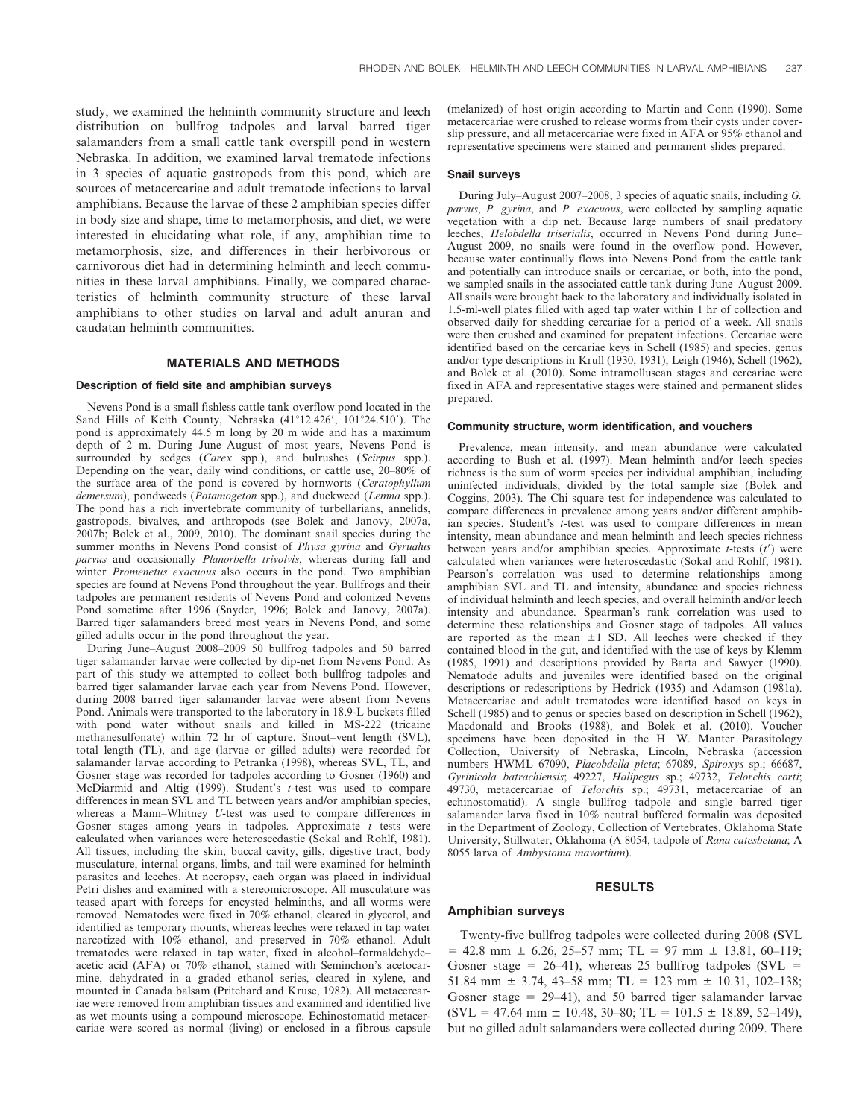study, we examined the helminth community structure and leech distribution on bullfrog tadpoles and larval barred tiger salamanders from a small cattle tank overspill pond in western Nebraska. In addition, we examined larval trematode infections in 3 species of aquatic gastropods from this pond, which are sources of metacercariae and adult trematode infections to larval amphibians. Because the larvae of these 2 amphibian species differ in body size and shape, time to metamorphosis, and diet, we were interested in elucidating what role, if any, amphibian time to metamorphosis, size, and differences in their herbivorous or carnivorous diet had in determining helminth and leech communities in these larval amphibians. Finally, we compared characteristics of helminth community structure of these larval amphibians to other studies on larval and adult anuran and caudatan helminth communities.

#### MATERIALS AND METHODS

## Description of field site and amphibian surveys

Nevens Pond is a small fishless cattle tank overflow pond located in the Sand Hills of Keith County, Nebraska  $(41^{\circ}12.426', 101^{\circ}24.510')$ . The pond is approximately 44.5 m long by 20 m wide and has a maximum depth of 2 m. During June–August of most years, Nevens Pond is surrounded by sedges (Carex spp.), and bulrushes (Scirpus spp.). Depending on the year, daily wind conditions, or cattle use, 20–80% of the surface area of the pond is covered by hornworts (Ceratophyllum demersum), pondweeds (Potamogeton spp.), and duckweed (Lemna spp.). The pond has a rich invertebrate community of turbellarians, annelids, gastropods, bivalves, and arthropods (see Bolek and Janovy, 2007a, 2007b; Bolek et al., 2009, 2010). The dominant snail species during the summer months in Nevens Pond consist of *Physa gyrina* and *Gyrualus* parvus and occasionally Planorbella trivolvis, whereas during fall and winter Promenetus exacuous also occurs in the pond. Two amphibian species are found at Nevens Pond throughout the year. Bullfrogs and their tadpoles are permanent residents of Nevens Pond and colonized Nevens Pond sometime after 1996 (Snyder, 1996; Bolek and Janovy, 2007a). Barred tiger salamanders breed most years in Nevens Pond, and some gilled adults occur in the pond throughout the year.

During June–August 2008–2009 50 bullfrog tadpoles and 50 barred tiger salamander larvae were collected by dip-net from Nevens Pond. As part of this study we attempted to collect both bullfrog tadpoles and barred tiger salamander larvae each year from Nevens Pond. However, during 2008 barred tiger salamander larvae were absent from Nevens Pond. Animals were transported to the laboratory in 18.9-L buckets filled with pond water without snails and killed in MS-222 (tricaine methanesulfonate) within 72 hr of capture. Snout–vent length (SVL), total length (TL), and age (larvae or gilled adults) were recorded for salamander larvae according to Petranka (1998), whereas SVL, TL, and Gosner stage was recorded for tadpoles according to Gosner (1960) and McDiarmid and Altig (1999). Student's t-test was used to compare differences in mean SVL and TL between years and/or amphibian species, whereas a Mann–Whitney U-test was used to compare differences in Gosner stages among years in tadpoles. Approximate  $t$  tests were calculated when variances were heteroscedastic (Sokal and Rohlf, 1981). All tissues, including the skin, buccal cavity, gills, digestive tract, body musculature, internal organs, limbs, and tail were examined for helminth parasites and leeches. At necropsy, each organ was placed in individual Petri dishes and examined with a stereomicroscope. All musculature was teased apart with forceps for encysted helminths, and all worms were removed. Nematodes were fixed in 70% ethanol, cleared in glycerol, and identified as temporary mounts, whereas leeches were relaxed in tap water narcotized with 10% ethanol, and preserved in 70% ethanol. Adult trematodes were relaxed in tap water, fixed in alcohol–formaldehyde– acetic acid (AFA) or 70% ethanol, stained with Seminchon's acetocarmine, dehydrated in a graded ethanol series, cleared in xylene, and mounted in Canada balsam (Pritchard and Kruse, 1982). All metacercariae were removed from amphibian tissues and examined and identified live as wet mounts using a compound microscope. Echinostomatid metacercariae were scored as normal (living) or enclosed in a fibrous capsule (melanized) of host origin according to Martin and Conn (1990). Some metacercariae were crushed to release worms from their cysts under coverslip pressure, and all metacercariae were fixed in AFA or 95% ethanol and representative specimens were stained and permanent slides prepared.

#### Snail surveys

During July–August 2007–2008, 3 species of aquatic snails, including G. parvus, P. gyrina, and P. exacuous, were collected by sampling aquatic vegetation with a dip net. Because large numbers of snail predatory leeches, Helobdella triserialis, occurred in Nevens Pond during June– August 2009, no snails were found in the overflow pond. However, because water continually flows into Nevens Pond from the cattle tank and potentially can introduce snails or cercariae, or both, into the pond, we sampled snails in the associated cattle tank during June–August 2009. All snails were brought back to the laboratory and individually isolated in 1.5-ml-well plates filled with aged tap water within 1 hr of collection and observed daily for shedding cercariae for a period of a week. All snails were then crushed and examined for prepatent infections. Cercariae were identified based on the cercariae keys in Schell (1985) and species, genus and/or type descriptions in Krull (1930, 1931), Leigh (1946), Schell (1962), and Bolek et al. (2010). Some intramolluscan stages and cercariae were fixed in AFA and representative stages were stained and permanent slides prepared.

#### Community structure, worm identification, and vouchers

Prevalence, mean intensity, and mean abundance were calculated according to Bush et al. (1997). Mean helminth and/or leech species richness is the sum of worm species per individual amphibian, including uninfected individuals, divided by the total sample size (Bolek and Coggins, 2003). The Chi square test for independence was calculated to compare differences in prevalence among years and/or different amphibian species. Student's *t*-test was used to compare differences in mean intensity, mean abundance and mean helminth and leech species richness between years and/or amphibian species. Approximate  $t$ -tests  $(t')$  were calculated when variances were heteroscedastic (Sokal and Rohlf, 1981). Pearson's correlation was used to determine relationships among amphibian SVL and TL and intensity, abundance and species richness of individual helminth and leech species, and overall helminth and/or leech intensity and abundance. Spearman's rank correlation was used to determine these relationships and Gosner stage of tadpoles. All values are reported as the mean  $\pm 1$  SD. All leeches were checked if they contained blood in the gut, and identified with the use of keys by Klemm (1985, 1991) and descriptions provided by Barta and Sawyer (1990). Nematode adults and juveniles were identified based on the original descriptions or redescriptions by Hedrick (1935) and Adamson (1981a). Metacercariae and adult trematodes were identified based on keys in Schell (1985) and to genus or species based on description in Schell (1962), Macdonald and Brooks (1988), and Bolek et al. (2010). Voucher specimens have been deposited in the H. W. Manter Parasitology Collection, University of Nebraska, Lincoln, Nebraska (accession numbers HWML 67090, Placobdella picta; 67089, Spiroxys sp.; 66687, Gyrinicola batrachiensis; 49227, Halipegus sp.; 49732, Telorchis corti; 49730, metacercariae of Telorchis sp.; 49731, metacercariae of an echinostomatid). A single bullfrog tadpole and single barred tiger salamander larva fixed in 10% neutral buffered formalin was deposited in the Department of Zoology, Collection of Vertebrates, Oklahoma State University, Stillwater, Oklahoma (A 8054, tadpole of Rana catesbeiana; A 8055 larva of Ambystoma mavortium).

## RESULTS

#### Amphibian surveys

Twenty-five bullfrog tadpoles were collected during 2008 (SVL  $= 42.8$  mm  $\pm 6.26$ , 25–57 mm; TL = 97 mm  $\pm$  13.81, 60–119; Gosner stage =  $26-41$ ), whereas 25 bullfrog tadpoles (SVL = 51.84 mm  $\pm$  3.74, 43–58 mm; TL = 123 mm  $\pm$  10.31, 102–138; Gosner stage  $= 29-41$ , and 50 barred tiger salamander larvae  $(SVL = 47.64 \text{ mm } \pm 10.48, 30-80; \text{ TL} = 101.5 \pm 18.89, 52-149),$ but no gilled adult salamanders were collected during 2009. There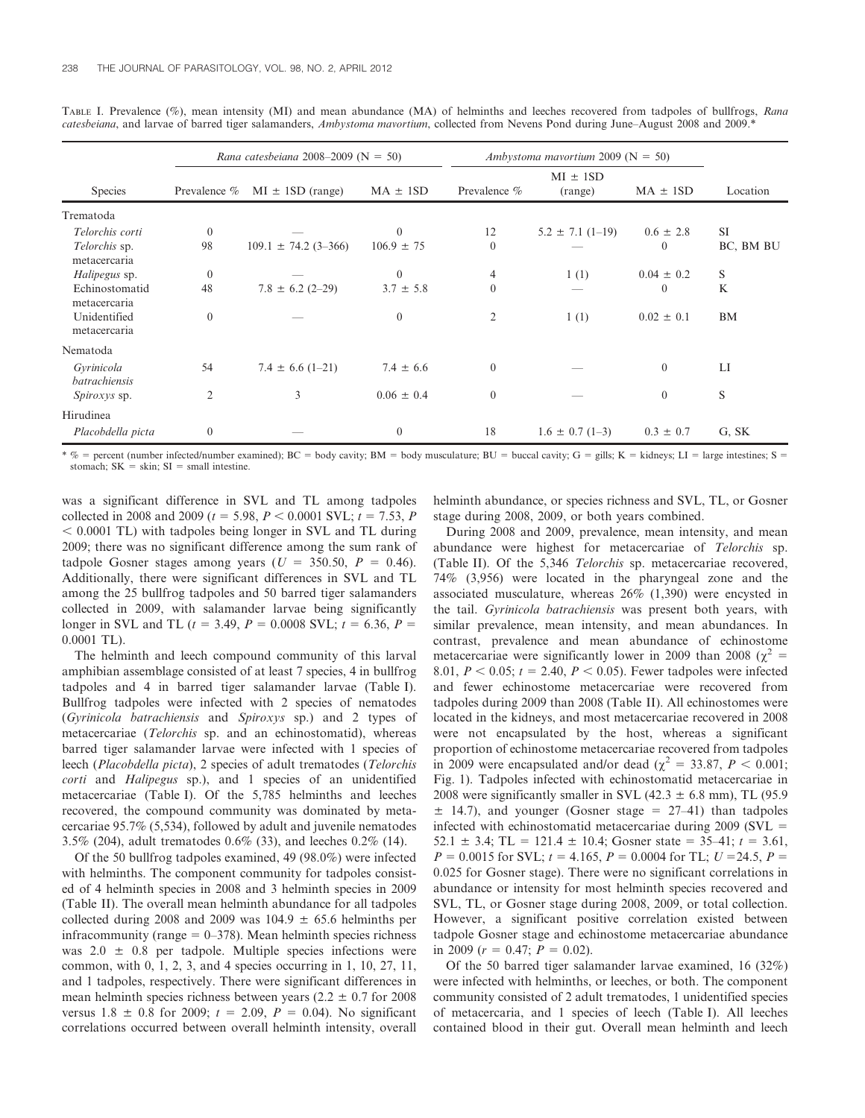|                                                                 |                                | Rana catesbeiana 2008–2009 ( $N = 50$ ) |                                           | Ambystoma mayortium 2009 ( $N = 50$ ) |                         |                                              |                        |
|-----------------------------------------------------------------|--------------------------------|-----------------------------------------|-------------------------------------------|---------------------------------------|-------------------------|----------------------------------------------|------------------------|
| <b>Species</b>                                                  | Prevalence %                   | $MI \pm 1SD$ (range)                    | $MA \pm 1SD$                              | Prevalence %                          | $MI \pm 1SD$<br>(range) | $MA \pm 1SD$                                 | Location               |
| Trematoda                                                       |                                |                                         |                                           |                                       |                         |                                              |                        |
| Telorchis corti<br>Telorchis sp.<br>metacercaria                | $\overline{0}$<br>98           | $109.1 \pm 74.2$ (3-366)                | $\mathbf{0}$<br>$106.9 \pm 75$            | 12<br>$\mathbf{0}$                    | $5.2 \pm 7.1$ (1-19)    | $0.6 \pm 2.8$<br>$\theta$                    | <b>SI</b><br>BC, BM BU |
| Halipegus sp.<br>Echinostomatid<br>metacercaria<br>Unidentified | $\Omega$<br>48<br>$\mathbf{0}$ | $7.8 \pm 6.2$ (2-29)                    | $\theta$<br>$3.7 \pm 5.8$<br>$\mathbf{0}$ | 4<br>$\mathbf{0}$<br>$\overline{2}$   | 1(1)<br>1(1)            | $0.04 \pm 0.2$<br>$\theta$<br>$0.02 \pm 0.1$ | S<br>K<br>BM           |
| metacercaria<br>Nematoda                                        |                                |                                         |                                           |                                       |                         |                                              |                        |
| Gyrinicola<br>batrachiensis                                     | 54                             | $7.4 \pm 6.6$ (1-21)                    | $7.4 \pm 6.6$                             | $\boldsymbol{0}$                      |                         | $\overline{0}$                               | LI                     |
| <i>Spiroxys</i> sp.                                             | $\overline{2}$                 | 3                                       | $0.06 \pm 0.4$                            | $\mathbf{0}$                          |                         | $\overline{0}$                               | S                      |
| Hirudinea<br>Placobdella picta                                  | $\mathbf{0}$                   |                                         | $\overline{0}$                            | 18                                    | $1.6 \pm 0.7$ (1-3)     | $0.3 \pm 0.7$                                | G, SK                  |

TABLE I. Prevalence (%), mean intensity (MI) and mean abundance (MA) of helminths and leeches recovered from tadpoles of bullfrogs, Rana catesbeiana, and larvae of barred tiger salamanders, Ambystoma mavortium, collected from Nevens Pond during June–August 2008 and 2009.\*

\* % = percent (number infected/number examined); BC = body cavity; BM = body musculature; BU = buccal cavity; G = gills; K = kidneys; LI = large intestines; S = stomach;  $SK = skin$ ;  $SI = small$  intestine.

was a significant difference in SVL and TL among tadpoles collected in 2008 and 2009 ( $t = 5.98, P < 0.0001$  SVL;  $t = 7.53, P$  $<$  0.0001 TL) with tadpoles being longer in SVL and TL during 2009; there was no significant difference among the sum rank of tadpole Gosner stages among years ( $U = 350.50$ ,  $P = 0.46$ ). Additionally, there were significant differences in SVL and TL among the 25 bullfrog tadpoles and 50 barred tiger salamanders collected in 2009, with salamander larvae being significantly longer in SVL and TL ( $t = 3.49$ ,  $P = 0.0008$  SVL;  $t = 6.36$ ,  $P =$ 0.0001 TL).

The helminth and leech compound community of this larval amphibian assemblage consisted of at least 7 species, 4 in bullfrog tadpoles and 4 in barred tiger salamander larvae (Table I). Bullfrog tadpoles were infected with 2 species of nematodes (Gyrinicola batrachiensis and Spiroxys sp.) and 2 types of metacercariae (Telorchis sp. and an echinostomatid), whereas barred tiger salamander larvae were infected with 1 species of leech (Placobdella picta), 2 species of adult trematodes (Telorchis corti and Halipegus sp.), and 1 species of an unidentified metacercariae (Table I). Of the 5,785 helminths and leeches recovered, the compound community was dominated by metacercariae 95.7% (5,534), followed by adult and juvenile nematodes 3.5% (204), adult trematodes 0.6% (33), and leeches 0.2% (14).

Of the 50 bullfrog tadpoles examined, 49 (98.0%) were infected with helminths. The component community for tadpoles consisted of 4 helminth species in 2008 and 3 helminth species in 2009 (Table II). The overall mean helminth abundance for all tadpoles collected during 2008 and 2009 was  $104.9 \pm 65.6$  helminths per infracommunity (range  $= 0$ –378). Mean helminth species richness was  $2.0 \pm 0.8$  per tadpole. Multiple species infections were common, with 0, 1, 2, 3, and 4 species occurring in 1, 10, 27, 11, and 1 tadpoles, respectively. There were significant differences in mean helminth species richness between years ( $2.2 \pm 0.7$  for 2008 versus  $1.8 \pm 0.8$  for 2009;  $t = 2.09$ ,  $P = 0.04$ ). No significant correlations occurred between overall helminth intensity, overall helminth abundance, or species richness and SVL, TL, or Gosner stage during 2008, 2009, or both years combined.

During 2008 and 2009, prevalence, mean intensity, and mean abundance were highest for metacercariae of Telorchis sp. (Table II). Of the 5,346 Telorchis sp. metacercariae recovered, 74% (3,956) were located in the pharyngeal zone and the associated musculature, whereas 26% (1,390) were encysted in the tail. Gyrinicola batrachiensis was present both years, with similar prevalence, mean intensity, and mean abundances. In contrast, prevalence and mean abundance of echinostome metacercariae were significantly lower in 2009 than 2008 ( $\chi^2$  = 8.01,  $P < 0.05$ ;  $t = 2.40$ ,  $P < 0.05$ ). Fewer tadpoles were infected and fewer echinostome metacercariae were recovered from tadpoles during 2009 than 2008 (Table II). All echinostomes were located in the kidneys, and most metacercariae recovered in 2008 were not encapsulated by the host, whereas a significant proportion of echinostome metacercariae recovered from tadpoles in 2009 were encapsulated and/or dead ( $\chi^2 = 33.87$ ,  $P < 0.001$ ; Fig. 1). Tadpoles infected with echinostomatid metacercariae in 2008 were significantly smaller in SVL (42.3  $\pm$  6.8 mm), TL (95.9  $\pm$  14.7), and younger (Gosner stage = 27–41) than tadpoles infected with echinostomatid metacercariae during  $2009$  (SVL  $=$ 52.1  $\pm$  3.4; TL = 121.4  $\pm$  10.4; Gosner state = 35–41;  $t = 3.61$ ,  $P = 0.0015$  for SVL;  $t = 4.165$ ,  $P = 0.0004$  for TL;  $U = 24.5$ ,  $P =$ 0.025 for Gosner stage). There were no significant correlations in abundance or intensity for most helminth species recovered and SVL, TL, or Gosner stage during 2008, 2009, or total collection. However, a significant positive correlation existed between tadpole Gosner stage and echinostome metacercariae abundance in 2009 ( $r = 0.47$ ;  $P = 0.02$ ).

Of the 50 barred tiger salamander larvae examined, 16 (32%) were infected with helminths, or leeches, or both. The component community consisted of 2 adult trematodes, 1 unidentified species of metacercaria, and 1 species of leech (Table I). All leeches contained blood in their gut. Overall mean helminth and leech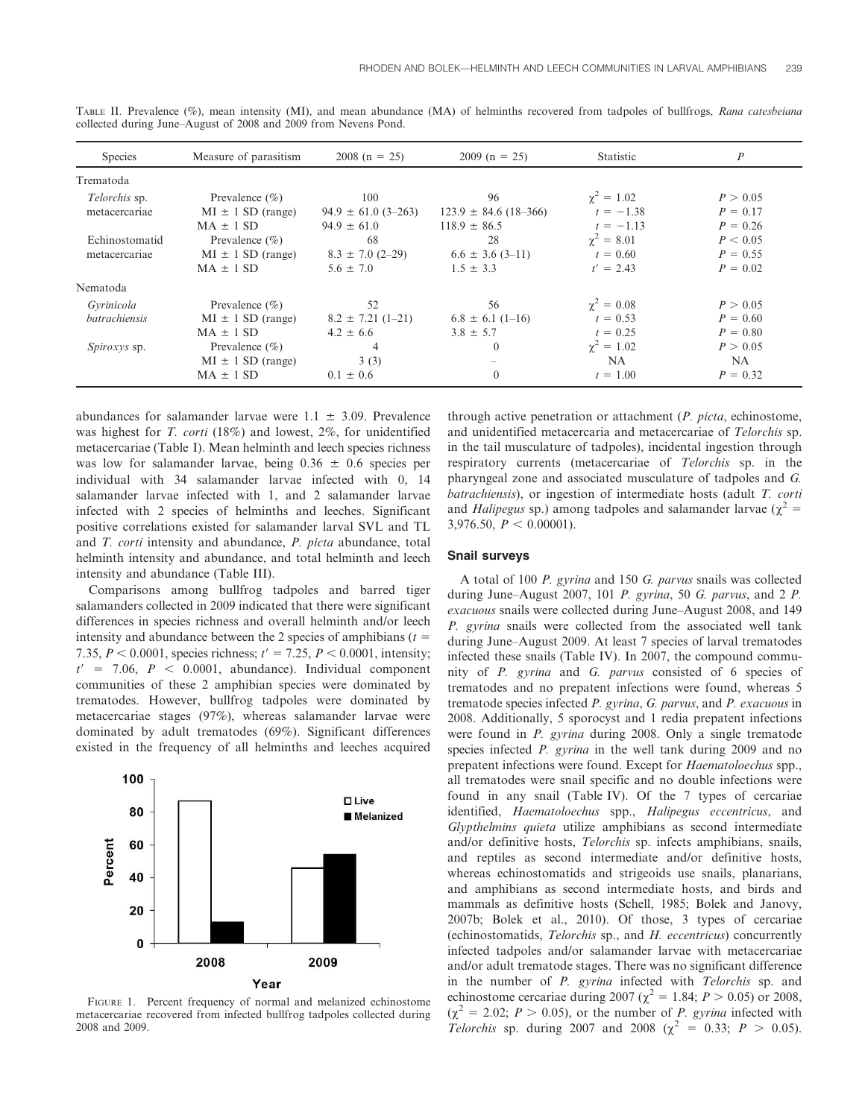| <b>Species</b>                        | Measure of parasitism                                        | $2008(n = 25)$                                    | $2009(n = 25)$                                      | <b>Statistic</b>                                | $\boldsymbol{P}$                     |
|---------------------------------------|--------------------------------------------------------------|---------------------------------------------------|-----------------------------------------------------|-------------------------------------------------|--------------------------------------|
| Trematoda                             |                                                              |                                                   |                                                     |                                                 |                                      |
| <i>Telorchis</i> sp.<br>metacercariae | Prevalence $(\% )$<br>$MI \pm 1 SD$ (range)<br>$MA \pm 1 SD$ | 100<br>$94.9 \pm 61.0$ (3-263)<br>$94.9 \pm 61.0$ | 96<br>$123.9 \pm 84.6$ (18-366)<br>$118.9 \pm 86.5$ | $\gamma^2 = 1.02$<br>$t = -1.38$<br>$t = -1.13$ | P > 0.05<br>$P = 0.17$<br>$P = 0.26$ |
| Echinostomatid<br>metacercariae       | Prevalence $(\% )$<br>$MI \pm 1 SD$ (range)<br>$MA \pm 1 SD$ | 68<br>$8.3 \pm 7.0$ (2-29)<br>$5.6 \pm 7.0$       | 28<br>$6.6 \pm 3.6$ (3-11)<br>$1.5 \pm 3.3$         | $\gamma^2 = 8.01$<br>$t = 0.60$<br>$t' = 2.43$  | P < 0.05<br>$P = 0.55$<br>$P = 0.02$ |
| Nematoda                              |                                                              |                                                   |                                                     |                                                 |                                      |
| Gyrinicola<br>batrachiensis           | Prevalence $(\% )$<br>$MI \pm 1 SD$ (range)<br>$MA \pm 1 SD$ | 52<br>$8.2 \pm 7.21$ (1-21)<br>$4.2 \pm 6.6$      | 56<br>$6.8 \pm 6.1$ (1-16)<br>$3.8 \pm 5.7$         | $\gamma^2 = 0.08$<br>$t = 0.53$<br>$t = 0.25$   | P > 0.05<br>$P = 0.60$<br>$P = 0.80$ |
| <i>Spiroxys</i> sp.                   | Prevalence $(\% )$<br>$MI \pm 1 SD$ (range)<br>$MA \pm 1 SD$ | 4<br>3(3)<br>$0.1 \pm 0.6$                        | $\theta$<br>$\theta$                                | $\gamma^2 = 1.02$<br>NA.<br>$t = 1.00$          | P > 0.05<br>NA.<br>$P = 0.32$        |

TABLE II. Prevalence (%), mean intensity (MI), and mean abundance (MA) of helminths recovered from tadpoles of bullfrogs, Rana catesbeiana collected during June–August of 2008 and 2009 from Nevens Pond.

abundances for salamander larvae were  $1.1 \pm 3.09$ . Prevalence was highest for T. corti (18%) and lowest, 2%, for unidentified metacercariae (Table I). Mean helminth and leech species richness was low for salamander larvae, being  $0.36 \pm 0.6$  species per individual with 34 salamander larvae infected with 0, 14 salamander larvae infected with 1, and 2 salamander larvae infected with 2 species of helminths and leeches. Significant positive correlations existed for salamander larval SVL and TL and T. corti intensity and abundance, P. picta abundance, total helminth intensity and abundance, and total helminth and leech intensity and abundance (Table III).

Comparisons among bullfrog tadpoles and barred tiger salamanders collected in 2009 indicated that there were significant differences in species richness and overall helminth and/or leech intensity and abundance between the 2 species of amphibians  $(t =$ 7.35,  $P < 0.0001$ , species richness;  $t' = 7.25$ ,  $P < 0.0001$ , intensity;  $t' = 7.06$ ,  $P < 0.0001$ , abundance). Individual component communities of these 2 amphibian species were dominated by trematodes. However, bullfrog tadpoles were dominated by metacercariae stages (97%), whereas salamander larvae were dominated by adult trematodes (69%). Significant differences existed in the frequency of all helminths and leeches acquired



FIGURE 1. Percent frequency of normal and melanized echinostome metacercariae recovered from infected bullfrog tadpoles collected during 2008 and 2009.

through active penetration or attachment (P. picta, echinostome, and unidentified metacercaria and metacercariae of Telorchis sp. in the tail musculature of tadpoles), incidental ingestion through respiratory currents (metacercariae of Telorchis sp. in the pharyngeal zone and associated musculature of tadpoles and G. batrachiensis), or ingestion of intermediate hosts (adult T. corti and *Halipegus* sp.) among tadpoles and salamander larvae ( $\chi^2$  = 3,976.50,  $P < 0.00001$ ).

## Snail surveys

A total of 100 P. gyrina and 150 G. parvus snails was collected during June–August 2007, 101 P. gyrina, 50 G. parvus, and 2 P. exacuous snails were collected during June–August 2008, and 149 P. gyrina snails were collected from the associated well tank during June–August 2009. At least 7 species of larval trematodes infected these snails (Table IV). In 2007, the compound community of P. gyrina and G. parvus consisted of 6 species of trematodes and no prepatent infections were found, whereas 5 trematode species infected P. gyrina, G. parvus, and P. exacuous in 2008. Additionally, 5 sporocyst and 1 redia prepatent infections were found in P. gyrina during 2008. Only a single trematode species infected *P. gyrina* in the well tank during 2009 and no prepatent infections were found. Except for Haematoloechus spp., all trematodes were snail specific and no double infections were found in any snail (Table IV). Of the 7 types of cercariae identified, Haematoloechus spp., Halipegus eccentricus, and Glypthelmins quieta utilize amphibians as second intermediate and/or definitive hosts, Telorchis sp. infects amphibians, snails, and reptiles as second intermediate and/or definitive hosts, whereas echinostomatids and strigeoids use snails, planarians, and amphibians as second intermediate hosts, and birds and mammals as definitive hosts (Schell, 1985; Bolek and Janovy, 2007b; Bolek et al., 2010). Of those, 3 types of cercariae (echinostomatids, Telorchis sp., and H. eccentricus) concurrently infected tadpoles and/or salamander larvae with metacercariae and/or adult trematode stages. There was no significant difference in the number of P. gyrina infected with Telorchis sp. and echinostome cercariae during 2007 ( $\chi^2 = 1.84$ ;  $P > 0.05$ ) or 2008,  $(\chi^2 = 2.02; P > 0.05)$ , or the number of *P. gyrina* infected with *Telorchis* sp. during 2007 and 2008 ( $\chi^2 = 0.33$ ;  $P > 0.05$ ).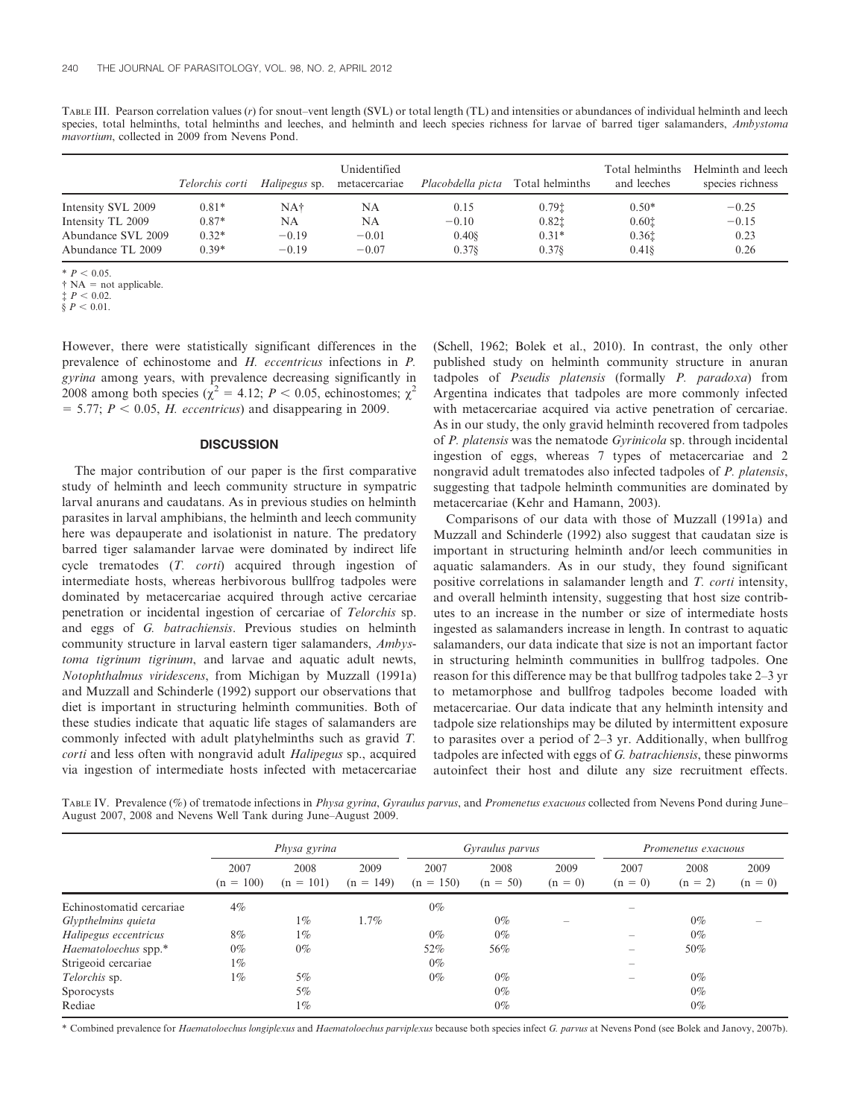TABLE III. Pearson correlation values (r) for snout–vent length (SVL) or total length (TL) and intensities or abundances of individual helminth and leech species, total helminths, total helminths and leeches, and helminth and leech species richness for larvae of barred tiger salamanders, Ambystoma mavortium, collected in 2009 from Nevens Pond.

|                    |         |         | Unidentified<br><i>Telorchis corti</i> Halipegus sp. metacercariae | <i>Placobdella picta</i> Total helminths |                   | Total helminths<br>and leeches | Helminth and leech<br>species richness |
|--------------------|---------|---------|--------------------------------------------------------------------|------------------------------------------|-------------------|--------------------------------|----------------------------------------|
| Intensity SVL 2009 | $0.81*$ | NA†     | NA                                                                 | 0.15                                     | 0.79 <sub>1</sub> | $0.50*$                        | $-0.25$                                |
| Intensity TL 2009  | $0.87*$ | NA      | NA                                                                 | $-0.10$                                  | 0.821             | 0.601                          | $-0.15$                                |
| Abundance SVL 2009 | $0.32*$ | $-0.19$ | $-0.01$                                                            | 0.408                                    | $0.31*$           | 0.361                          | 0.23                                   |
| Abundance TL 2009  | $0.39*$ | $-0.19$ | $-0.07$                                                            | 0.378                                    | 0.378             | $0.41$ §                       | 0.26                                   |

 $*$   $P < 0.05$ .

 $\dagger$  NA = not applicable.

 $\frac{1}{2}$   $\frac{1}{2}$   $\frac{1}{2}$   $\frac{1}{2}$   $\frac{1}{2}$   $\frac{1}{2}$   $\frac{1}{2}$   $\frac{1}{2}$   $\frac{1}{2}$   $\frac{1}{2}$   $\frac{1}{2}$   $\frac{1}{2}$   $\frac{1}{2}$   $\frac{1}{2}$   $\frac{1}{2}$   $\frac{1}{2}$   $\frac{1}{2}$   $\frac{1}{2}$   $\frac{1}{2}$   $\frac{1}{2}$   $\frac{1}{2}$   $\frac{1}{2}$ 

 $\dot{\delta} P < 0.01$ .

However, there were statistically significant differences in the prevalence of echinostome and H. eccentricus infections in P. gyrina among years, with prevalence decreasing significantly in 2008 among both species ( $\chi^2$  = 4.12; P < 0.05, echinostomes;  $\chi^2$  $= 5.77$ ;  $P < 0.05$ , H. eccentricus) and disappearing in 2009.

# **DISCUSSION**

The major contribution of our paper is the first comparative study of helminth and leech community structure in sympatric larval anurans and caudatans. As in previous studies on helminth parasites in larval amphibians, the helminth and leech community here was depauperate and isolationist in nature. The predatory barred tiger salamander larvae were dominated by indirect life cycle trematodes (T. corti) acquired through ingestion of intermediate hosts, whereas herbivorous bullfrog tadpoles were dominated by metacercariae acquired through active cercariae penetration or incidental ingestion of cercariae of Telorchis sp. and eggs of G. batrachiensis. Previous studies on helminth community structure in larval eastern tiger salamanders, Ambystoma tigrinum tigrinum, and larvae and aquatic adult newts, Notophthalmus viridescens, from Michigan by Muzzall (1991a) and Muzzall and Schinderle (1992) support our observations that diet is important in structuring helminth communities. Both of these studies indicate that aquatic life stages of salamanders are commonly infected with adult platyhelminths such as gravid T. corti and less often with nongravid adult Halipegus sp., acquired via ingestion of intermediate hosts infected with metacercariae

(Schell, 1962; Bolek et al., 2010). In contrast, the only other published study on helminth community structure in anuran tadpoles of Pseudis platensis (formally P. paradoxa) from Argentina indicates that tadpoles are more commonly infected with metacercariae acquired via active penetration of cercariae. As in our study, the only gravid helminth recovered from tadpoles of P. platensis was the nematode Gyrinicola sp. through incidental ingestion of eggs, whereas 7 types of metacercariae and 2 nongravid adult trematodes also infected tadpoles of P. platensis, suggesting that tadpole helminth communities are dominated by metacercariae (Kehr and Hamann, 2003).

Comparisons of our data with those of Muzzall (1991a) and Muzzall and Schinderle (1992) also suggest that caudatan size is important in structuring helminth and/or leech communities in aquatic salamanders. As in our study, they found significant positive correlations in salamander length and T. corti intensity, and overall helminth intensity, suggesting that host size contributes to an increase in the number or size of intermediate hosts ingested as salamanders increase in length. In contrast to aquatic salamanders, our data indicate that size is not an important factor in structuring helminth communities in bullfrog tadpoles. One reason for this difference may be that bullfrog tadpoles take 2–3 yr to metamorphose and bullfrog tadpoles become loaded with metacercariae. Our data indicate that any helminth intensity and tadpole size relationships may be diluted by intermittent exposure to parasites over a period of 2–3 yr. Additionally, when bullfrog tadpoles are infected with eggs of G. batrachiensis, these pinworms autoinfect their host and dilute any size recruitment effects.

TABLE IV. Prevalence (%) of trematode infections in *Physa gyrina, Gyraulus parvus*, and *Promenetus exacuous* collected from Nevens Pond during June– August 2007, 2008 and Nevens Well Tank during June–August 2009.

|                          | Physa gyrina        |                     |                     |                     | Gyraulus parvus    |                          |                   | Promenetus exacuous |                   |  |
|--------------------------|---------------------|---------------------|---------------------|---------------------|--------------------|--------------------------|-------------------|---------------------|-------------------|--|
|                          | 2007<br>$(n = 100)$ | 2008<br>$(n = 101)$ | 2009<br>$(n = 149)$ | 2007<br>$(n = 150)$ | 2008<br>$(n = 50)$ | 2009<br>$(n = 0)$        | 2007<br>$(n = 0)$ | 2008<br>$(n = 2)$   | 2009<br>$(n = 0)$ |  |
| Echinostomatid cercariae | $4\%$               |                     |                     | $0\%$               |                    |                          |                   |                     |                   |  |
| Glypthelmins quieta      |                     | $1\%$               | $1.7\%$             |                     | $0\%$              | $\overline{\phantom{a}}$ |                   | $0\%$               |                   |  |
| Halipegus eccentricus    | $8\%$               | $1\%$               |                     | $0\%$               | $0\%$              |                          |                   | $0\%$               |                   |  |
| Haematoloechus spp.*     | $0\%$               | $0\%$               |                     | $52\%$              | 56%                |                          |                   | $50\%$              |                   |  |
| Strigeoid cercariae      | $1\%$               |                     |                     | $0\%$               |                    |                          |                   |                     |                   |  |
| Telorchis sp.            | $1\%$               | $5\%$               |                     | $0\%$               | $0\%$              |                          |                   | $0\%$               |                   |  |
| Sporocysts               |                     | $5\%$               |                     |                     | $0\%$              |                          |                   | $0\%$               |                   |  |
| Rediae                   |                     | $1\%$               |                     |                     | $0\%$              |                          |                   | $0\%$               |                   |  |

\* Combined prevalence for Haematoloechus longiplexus and Haematoloechus parviplexus because both species infect G. parvus at Nevens Pond (see Bolek and Janovy, 2007b).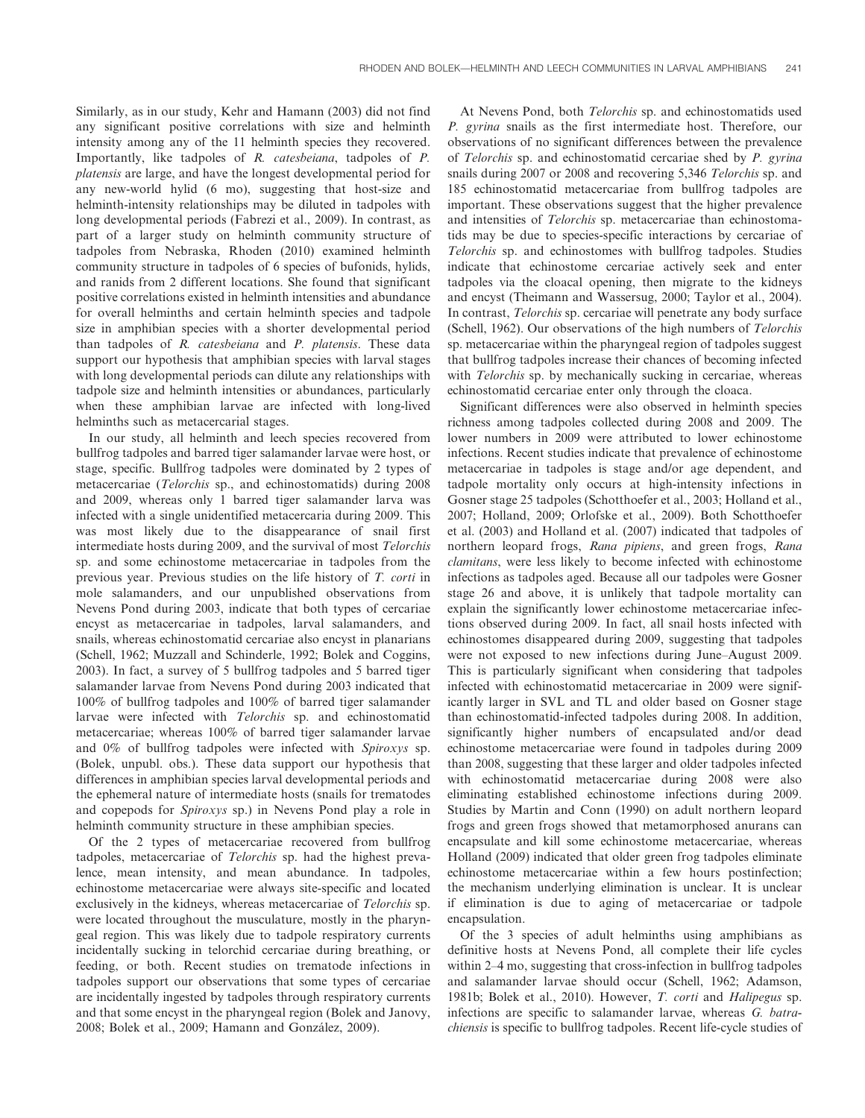Similarly, as in our study, Kehr and Hamann (2003) did not find any significant positive correlations with size and helminth intensity among any of the 11 helminth species they recovered. Importantly, like tadpoles of R. catesbeiana, tadpoles of P. platensis are large, and have the longest developmental period for any new-world hylid (6 mo), suggesting that host-size and helminth-intensity relationships may be diluted in tadpoles with long developmental periods (Fabrezi et al., 2009). In contrast, as part of a larger study on helminth community structure of tadpoles from Nebraska, Rhoden (2010) examined helminth community structure in tadpoles of 6 species of bufonids, hylids, and ranids from 2 different locations. She found that significant positive correlations existed in helminth intensities and abundance for overall helminths and certain helminth species and tadpole size in amphibian species with a shorter developmental period than tadpoles of R. catesbeiana and P. platensis. These data support our hypothesis that amphibian species with larval stages with long developmental periods can dilute any relationships with tadpole size and helminth intensities or abundances, particularly when these amphibian larvae are infected with long-lived helminths such as metacercarial stages.

In our study, all helminth and leech species recovered from bullfrog tadpoles and barred tiger salamander larvae were host, or stage, specific. Bullfrog tadpoles were dominated by 2 types of metacercariae (Telorchis sp., and echinostomatids) during 2008 and 2009, whereas only 1 barred tiger salamander larva was infected with a single unidentified metacercaria during 2009. This was most likely due to the disappearance of snail first intermediate hosts during 2009, and the survival of most Telorchis sp. and some echinostome metacercariae in tadpoles from the previous year. Previous studies on the life history of T. corti in mole salamanders, and our unpublished observations from Nevens Pond during 2003, indicate that both types of cercariae encyst as metacercariae in tadpoles, larval salamanders, and snails, whereas echinostomatid cercariae also encyst in planarians (Schell, 1962; Muzzall and Schinderle, 1992; Bolek and Coggins, 2003). In fact, a survey of 5 bullfrog tadpoles and 5 barred tiger salamander larvae from Nevens Pond during 2003 indicated that 100% of bullfrog tadpoles and 100% of barred tiger salamander larvae were infected with Telorchis sp. and echinostomatid metacercariae; whereas 100% of barred tiger salamander larvae and 0% of bullfrog tadpoles were infected with Spiroxys sp. (Bolek, unpubl. obs.). These data support our hypothesis that differences in amphibian species larval developmental periods and the ephemeral nature of intermediate hosts (snails for trematodes and copepods for Spiroxys sp.) in Nevens Pond play a role in helminth community structure in these amphibian species.

Of the 2 types of metacercariae recovered from bullfrog tadpoles, metacercariae of Telorchis sp. had the highest prevalence, mean intensity, and mean abundance. In tadpoles, echinostome metacercariae were always site-specific and located exclusively in the kidneys, whereas metacercariae of Telorchis sp. were located throughout the musculature, mostly in the pharyngeal region. This was likely due to tadpole respiratory currents incidentally sucking in telorchid cercariae during breathing, or feeding, or both. Recent studies on trematode infections in tadpoles support our observations that some types of cercariae are incidentally ingested by tadpoles through respiratory currents and that some encyst in the pharyngeal region (Bolek and Janovy, 2008; Bolek et al., 2009; Hamann and González, 2009).

At Nevens Pond, both Telorchis sp. and echinostomatids used P. gyrina snails as the first intermediate host. Therefore, our observations of no significant differences between the prevalence of Telorchis sp. and echinostomatid cercariae shed by P. gyrina snails during 2007 or 2008 and recovering 5,346 Telorchis sp. and 185 echinostomatid metacercariae from bullfrog tadpoles are important. These observations suggest that the higher prevalence and intensities of Telorchis sp. metacercariae than echinostomatids may be due to species-specific interactions by cercariae of Telorchis sp. and echinostomes with bullfrog tadpoles. Studies indicate that echinostome cercariae actively seek and enter tadpoles via the cloacal opening, then migrate to the kidneys and encyst (Theimann and Wassersug, 2000; Taylor et al., 2004). In contrast, Telorchis sp. cercariae will penetrate any body surface (Schell, 1962). Our observations of the high numbers of Telorchis sp. metacercariae within the pharyngeal region of tadpoles suggest that bullfrog tadpoles increase their chances of becoming infected with *Telorchis* sp. by mechanically sucking in cercariae, whereas echinostomatid cercariae enter only through the cloaca.

Significant differences were also observed in helminth species richness among tadpoles collected during 2008 and 2009. The lower numbers in 2009 were attributed to lower echinostome infections. Recent studies indicate that prevalence of echinostome metacercariae in tadpoles is stage and/or age dependent, and tadpole mortality only occurs at high-intensity infections in Gosner stage 25 tadpoles (Schotthoefer et al., 2003; Holland et al., 2007; Holland, 2009; Orlofske et al., 2009). Both Schotthoefer et al. (2003) and Holland et al. (2007) indicated that tadpoles of northern leopard frogs, Rana pipiens, and green frogs, Rana clamitans, were less likely to become infected with echinostome infections as tadpoles aged. Because all our tadpoles were Gosner stage 26 and above, it is unlikely that tadpole mortality can explain the significantly lower echinostome metacercariae infections observed during 2009. In fact, all snail hosts infected with echinostomes disappeared during 2009, suggesting that tadpoles were not exposed to new infections during June–August 2009. This is particularly significant when considering that tadpoles infected with echinostomatid metacercariae in 2009 were significantly larger in SVL and TL and older based on Gosner stage than echinostomatid-infected tadpoles during 2008. In addition, significantly higher numbers of encapsulated and/or dead echinostome metacercariae were found in tadpoles during 2009 than 2008, suggesting that these larger and older tadpoles infected with echinostomatid metacercariae during 2008 were also eliminating established echinostome infections during 2009. Studies by Martin and Conn (1990) on adult northern leopard frogs and green frogs showed that metamorphosed anurans can encapsulate and kill some echinostome metacercariae, whereas Holland (2009) indicated that older green frog tadpoles eliminate echinostome metacercariae within a few hours postinfection; the mechanism underlying elimination is unclear. It is unclear if elimination is due to aging of metacercariae or tadpole encapsulation.

Of the 3 species of adult helminths using amphibians as definitive hosts at Nevens Pond, all complete their life cycles within 2–4 mo, suggesting that cross-infection in bullfrog tadpoles and salamander larvae should occur (Schell, 1962; Adamson, 1981b; Bolek et al., 2010). However, T. corti and Halipegus sp. infections are specific to salamander larvae, whereas G. batrachiensis is specific to bullfrog tadpoles. Recent life-cycle studies of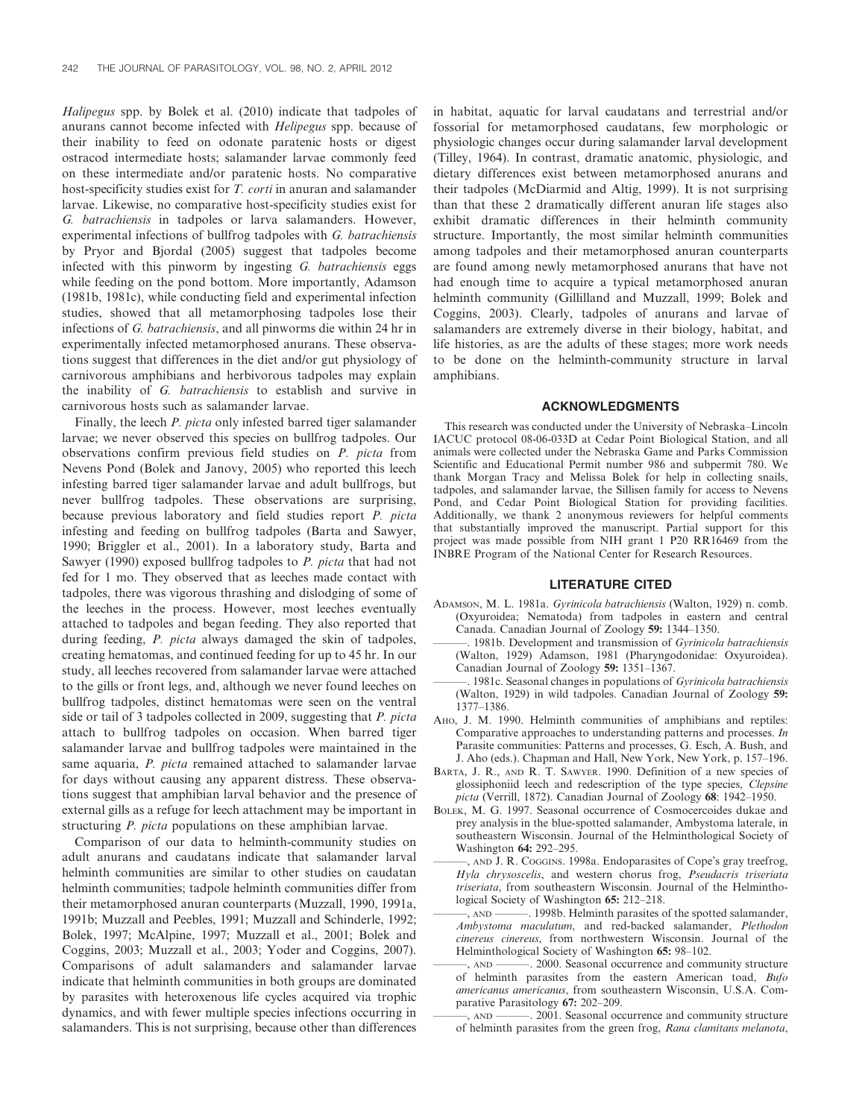Halipegus spp. by Bolek et al. (2010) indicate that tadpoles of anurans cannot become infected with Helipegus spp. because of their inability to feed on odonate paratenic hosts or digest ostracod intermediate hosts; salamander larvae commonly feed on these intermediate and/or paratenic hosts. No comparative host-specificity studies exist for T. corti in anuran and salamander larvae. Likewise, no comparative host-specificity studies exist for G. batrachiensis in tadpoles or larva salamanders. However, experimental infections of bullfrog tadpoles with G. batrachiensis by Pryor and Bjordal (2005) suggest that tadpoles become infected with this pinworm by ingesting G. batrachiensis eggs while feeding on the pond bottom. More importantly, Adamson (1981b, 1981c), while conducting field and experimental infection studies, showed that all metamorphosing tadpoles lose their infections of G. batrachiensis, and all pinworms die within 24 hr in experimentally infected metamorphosed anurans. These observations suggest that differences in the diet and/or gut physiology of carnivorous amphibians and herbivorous tadpoles may explain the inability of G. batrachiensis to establish and survive in carnivorous hosts such as salamander larvae.

Finally, the leech P. picta only infested barred tiger salamander larvae; we never observed this species on bullfrog tadpoles. Our observations confirm previous field studies on P. picta from Nevens Pond (Bolek and Janovy, 2005) who reported this leech infesting barred tiger salamander larvae and adult bullfrogs, but never bullfrog tadpoles. These observations are surprising, because previous laboratory and field studies report P. picta infesting and feeding on bullfrog tadpoles (Barta and Sawyer, 1990; Briggler et al., 2001). In a laboratory study, Barta and Sawyer (1990) exposed bullfrog tadpoles to P. picta that had not fed for 1 mo. They observed that as leeches made contact with tadpoles, there was vigorous thrashing and dislodging of some of the leeches in the process. However, most leeches eventually attached to tadpoles and began feeding. They also reported that during feeding, P. picta always damaged the skin of tadpoles, creating hematomas, and continued feeding for up to 45 hr. In our study, all leeches recovered from salamander larvae were attached to the gills or front legs, and, although we never found leeches on bullfrog tadpoles, distinct hematomas were seen on the ventral side or tail of 3 tadpoles collected in 2009, suggesting that P. picta attach to bullfrog tadpoles on occasion. When barred tiger salamander larvae and bullfrog tadpoles were maintained in the same aquaria, P. picta remained attached to salamander larvae for days without causing any apparent distress. These observations suggest that amphibian larval behavior and the presence of external gills as a refuge for leech attachment may be important in structuring P. picta populations on these amphibian larvae.

Comparison of our data to helminth-community studies on adult anurans and caudatans indicate that salamander larval helminth communities are similar to other studies on caudatan helminth communities; tadpole helminth communities differ from their metamorphosed anuran counterparts (Muzzall, 1990, 1991a, 1991b; Muzzall and Peebles, 1991; Muzzall and Schinderle, 1992; Bolek, 1997; McAlpine, 1997; Muzzall et al., 2001; Bolek and Coggins, 2003; Muzzall et al., 2003; Yoder and Coggins, 2007). Comparisons of adult salamanders and salamander larvae indicate that helminth communities in both groups are dominated by parasites with heteroxenous life cycles acquired via trophic dynamics, and with fewer multiple species infections occurring in salamanders. This is not surprising, because other than differences in habitat, aquatic for larval caudatans and terrestrial and/or fossorial for metamorphosed caudatans, few morphologic or physiologic changes occur during salamander larval development (Tilley, 1964). In contrast, dramatic anatomic, physiologic, and dietary differences exist between metamorphosed anurans and their tadpoles (McDiarmid and Altig, 1999). It is not surprising than that these 2 dramatically different anuran life stages also exhibit dramatic differences in their helminth community structure. Importantly, the most similar helminth communities among tadpoles and their metamorphosed anuran counterparts are found among newly metamorphosed anurans that have not had enough time to acquire a typical metamorphosed anuran helminth community (Gillilland and Muzzall, 1999; Bolek and Coggins, 2003). Clearly, tadpoles of anurans and larvae of salamanders are extremely diverse in their biology, habitat, and life histories, as are the adults of these stages; more work needs to be done on the helminth-community structure in larval amphibians.

## ACKNOWLEDGMENTS

This research was conducted under the University of Nebraska–Lincoln IACUC protocol 08-06-033D at Cedar Point Biological Station, and all animals were collected under the Nebraska Game and Parks Commission Scientific and Educational Permit number 986 and subpermit 780. We thank Morgan Tracy and Melissa Bolek for help in collecting snails, tadpoles, and salamander larvae, the Sillisen family for access to Nevens Pond, and Cedar Point Biological Station for providing facilities. Additionally, we thank 2 anonymous reviewers for helpful comments that substantially improved the manuscript. Partial support for this project was made possible from NIH grant 1 P20 RR16469 from the INBRE Program of the National Center for Research Resources.

#### LITERATURE CITED

- ADAMSON, M. L. 1981a. Gyrinicola batrachiensis (Walton, 1929) n. comb. (Oxyuroidea; Nematoda) from tadpoles in eastern and central Canada. Canadian Journal of Zoology 59: 1344–1350.
- 1981b. Development and transmission of Gyrinicola batrachiensis (Walton, 1929) Adamson, 1981 (Pharyngodonidae: Oxyuroidea). Canadian Journal of Zoology 59: 1351–1367.
- 1981c. Seasonal changes in populations of Gyrinicola batrachiensis (Walton, 1929) in wild tadpoles. Canadian Journal of Zoology 59: 1377–1386.
- AHO, J. M. 1990. Helminth communities of amphibians and reptiles: Comparative approaches to understanding patterns and processes. In Parasite communities: Patterns and processes, G. Esch, A. Bush, and J. Aho (eds.). Chapman and Hall, New York, New York, p. 157–196.
- BARTA, J. R., AND R. T. SAWYER. 1990. Definition of a new species of glossiphoniid leech and redescription of the type species, Clepsine picta (Verrill, 1872). Canadian Journal of Zoology 68: 1942–1950.
- BOLEK, M. G. 1997. Seasonal occurrence of Cosmocercoides dukae and prey analysis in the blue-spotted salamander, Ambystoma laterale, in southeastern Wisconsin. Journal of the Helminthological Society of Washington 64: 292–295.
- ———, AND J. R. COGGINS. 1998a. Endoparasites of Cope's gray treefrog, Hyla chrysoscelis, and western chorus frog, Pseudacris triseriata triseriata, from southeastern Wisconsin. Journal of the Helminthological Society of Washington 65: 212–218.
- ———, AND ———. 1998b. Helminth parasites of the spotted salamander, Ambystoma maculatum, and red-backed salamander, Plethodon cinereus cinereus, from northwestern Wisconsin. Journal of the Helminthological Society of Washington 65: 98–102.
- ———, AND ———. 2000. Seasonal occurrence and community structure of helminth parasites from the eastern American toad, Bufo americanus americanus, from southeastern Wisconsin, U.S.A. Comparative Parasitology 67: 202-209.<br>
— AND — 2001. Seasonal occ
- 2001. Seasonal occurrence and community structure of helminth parasites from the green frog, Rana clamitans melanota,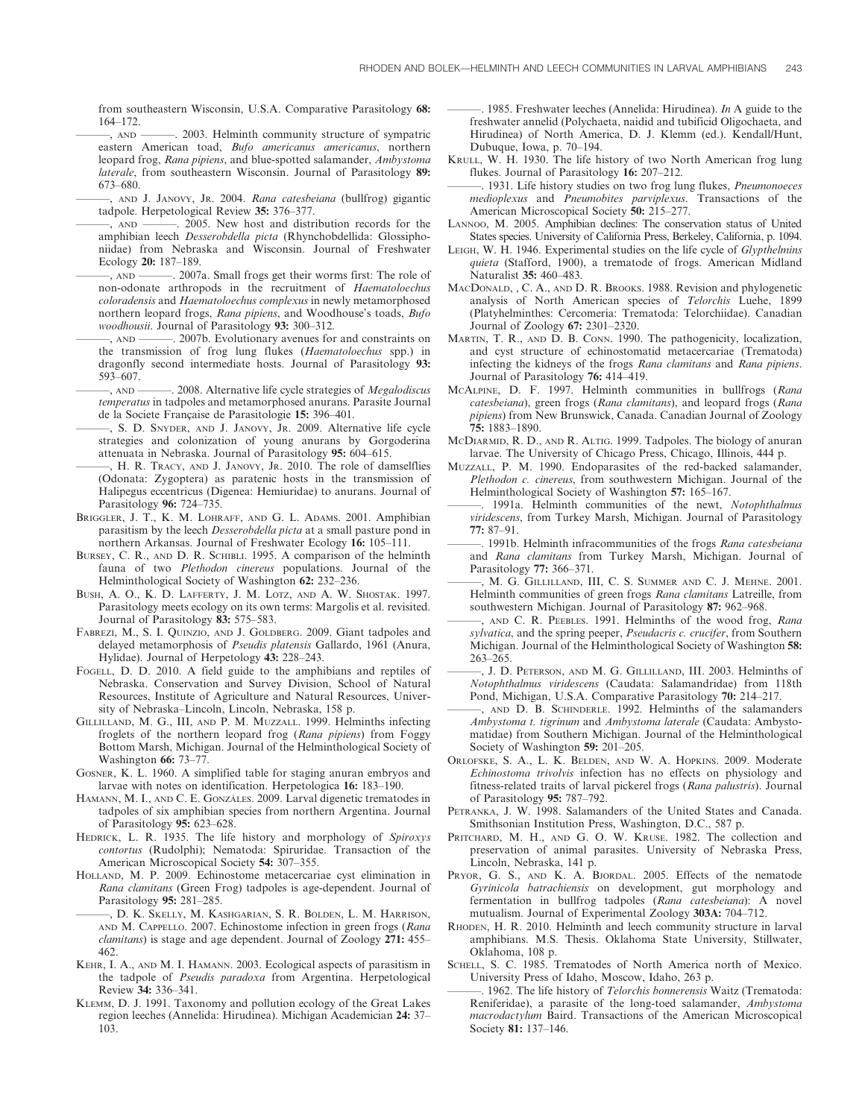from southeastern Wisconsin, U.S.A. Comparative Parasitology 68: 164–172.

———, AND ———. 2003. Helminth community structure of sympatric eastern American toad, Bufo americanus americanus, northern leopard frog, Rana pipiens, and blue-spotted salamander, Ambystoma laterale, from southeastern Wisconsin. Journal of Parasitology 89: 673–680.

-, AND J. JANOVY, JR. 2004. Rana catesbeiana (bullfrog) gigantic tadpole. Herpetological Review 35: 376–377.

- ———, AND ———. 2005. New host and distribution records for the amphibian leech Desserobdella picta (Rhynchobdellida: Glossiphoniidae) from Nebraska and Wisconsin. Journal of Freshwater Ecology 20: 187–189.
- ———, AND ———. 2007a. Small frogs get their worms first: The role of non-odonate arthropods in the recruitment of Haematoloechus coloradensis and Haematoloechus complexus in newly metamorphosed northern leopard frogs, Rana pipiens, and Woodhouse's toads, Bufo woodhousii. Journal of Parasitology 93: 300–312.
- ———, AND ———. 2007b. Evolutionary avenues for and constraints on the transmission of frog lung flukes (Haematoloechus spp.) in dragonfly second intermediate hosts. Journal of Parasitology 93: 593–607.
- -, AND ———, 2008. Alternative life cycle strategies of *Megalodiscus* temperatus in tadpoles and metamorphosed anurans. Parasite Journal de la Societe Française de Parasitologie 15: 396-401.
- ———, S. D. SNYDER, AND J. JANOVY, JR. 2009. Alternative life cycle strategies and colonization of young anurans by Gorgoderina attenuata in Nebraska. Journal of Parasitology 95: 604–615.
- ———, H. R. TRACY, AND J. JANOVY, JR. 2010. The role of damselflies (Odonata: Zygoptera) as paratenic hosts in the transmission of Halipegus eccentricus (Digenea: Hemiuridae) to anurans. Journal of Parasitology 96: 724–735.
- BRIGGLER, J. T., K. M. LOHRAFF, AND G. L. ADAMS. 2001. Amphibian parasitism by the leech Desserobdella picta at a small pasture pond in northern Arkansas. Journal of Freshwater Ecology 16: 105–111.
- BURSEY, C. R., AND D. R. SCHIBLI. 1995. A comparison of the helminth fauna of two Plethodon cinereus populations. Journal of the Helminthological Society of Washington 62: 232–236.
- BUSH, A. O., K. D. LAFFERTY, J. M. LOTZ, AND A. W. SHOSTAK. 1997. Parasitology meets ecology on its own terms: Margolis et al. revisited. Journal of Parasitology 83: 575–583.
- FABREZI, M., S. I. QUINZIO, AND J. GOLDBERG. 2009. Giant tadpoles and delayed metamorphosis of Pseudis platensis Gallardo, 1961 (Anura, Hylidae). Journal of Herpetology 43: 228–243.
- FOGELL, D. D. 2010. A field guide to the amphibians and reptiles of Nebraska. Conservation and Survey Division, School of Natural Resources, Institute of Agriculture and Natural Resources, University of Nebraska–Lincoln, Lincoln, Nebraska, 158 p.
- GILLILLAND, M. G., III, AND P. M. MUZZALL. 1999. Helminths infecting froglets of the northern leopard frog (Rana pipiens) from Foggy Bottom Marsh, Michigan. Journal of the Helminthological Society of Washington 66: 73–77.
- GOSNER, K. L. 1960. A simplified table for staging anuran embryos and larvae with notes on identification. Herpetologica 16: 183–190.
- HAMANN, M. I., AND C. E. GONZÁLES. 2009. Larval digenetic trematodes in tadpoles of six amphibian species from northern Argentina. Journal of Parasitology 95: 623–628.
- HEDRICK, L. R. 1935. The life history and morphology of Spiroxys contortus (Rudolphi); Nematoda: Spiruridae. Transaction of the American Microscopical Society 54: 307–355.
- HOLLAND, M. P. 2009. Echinostome metacercariae cyst elimination in Rana clamitans (Green Frog) tadpoles is age-dependent. Journal of Parasitology 95: 281–285.
- ———, D. K. SKELLY, M. KASHGARIAN, S. R. BOLDEN, L. M. HARRISON, AND M. CAPPELLO. 2007. Echinostome infection in green frogs (Rana clamitans) is stage and age dependent. Journal of Zoology 271: 455-462.
- KEHR, I. A., AND M. I. HAMANN. 2003. Ecological aspects of parasitism in the tadpole of Pseudis paradoxa from Argentina. Herpetological Review 34: 336–341.
- KLEMM, D. J. 1991. Taxonomy and pollution ecology of the Great Lakes region leeches (Annelida: Hirudinea). Michigan Academician 24: 37– 103.

 $-$ . 1985. Freshwater leeches (Annelida: Hirudinea). In A guide to the freshwater annelid (Polychaeta, naidid and tubificid Oligochaeta, and Hirudinea) of North America, D. J. Klemm (ed.). Kendall/Hunt, Dubuque, Iowa, p. 70–194.

- KRULL, W. H. 1930. The life history of two North American frog lung flukes. Journal of Parasitology 16: 207–212.
- -. 1931. Life history studies on two frog lung flukes, Pneumonoeces medioplexus and Pneumobites parviplexus. Transactions of the American Microscopical Society 50: 215–277.
- LANNOO, M. 2005. Amphibian declines: The conservation status of United States species. University of California Press, Berkeley, California, p. 1094.
- LEIGH, W. H. 1946. Experimental studies on the life cycle of Glypthelmins quieta (Stafford, 1900), a trematode of frogs. American Midland Naturalist 35: 460–483.
- MACDONALD, , C. A., AND D. R. BROOKS. 1988. Revision and phylogenetic analysis of North American species of Telorchis Luehe, 1899 (Platyhelminthes: Cercomeria: Trematoda: Telorchiidae). Canadian Journal of Zoology 67: 2301–2320.
- MARTIN, T. R., AND D. B. CONN. 1990. The pathogenicity, localization, and cyst structure of echinostomatid metacercariae (Trematoda) infecting the kidneys of the frogs Rana clamitans and Rana pipiens. Journal of Parasitology 76: 414–419.
- MCALPINE, D. F. 1997. Helminth communities in bullfrogs (Rana catesbeiana), green frogs (Rana clamitans), and leopard frogs (Rana pipiens) from New Brunswick, Canada. Canadian Journal of Zoology 75: 1883–1890.
- MCDIARMID, R. D., AND R. ALTIG. 1999. Tadpoles. The biology of anuran larvae. The University of Chicago Press, Chicago, Illinois, 444 p.
- MUZZALL, P. M. 1990. Endoparasites of the red-backed salamander, Plethodon c. cinereus, from southwestern Michigan. Journal of the Helminthological Society of Washington 57: 165–167.
- . 1991a. Helminth communities of the newt, Notophthalmus viridescens, from Turkey Marsh, Michigan. Journal of Parasitology 77: 87–91.
- -. 1991b. Helminth infracommunities of the frogs Rana catesbeiana and Rana clamitans from Turkey Marsh, Michigan. Journal of Parasitology 77: 366–371.
- ———, M. G. GILLILLAND, III, C. S. SUMMER AND C. J. MEHNE. 2001. Helminth communities of green frogs Rana clamitans Latreille, from southwestern Michigan. Journal of Parasitology 87: 962–968.
- AND C. R. PEEBLES. 1991. Helminths of the wood frog, Rana sylvatica, and the spring peeper, Pseudacris c. crucifer, from Southern Michigan. Journal of the Helminthological Society of Washington 58: 263–265.
- ———, J. D. PETERSON, AND M. G. GILLILLAND, III. 2003. Helminths of Notophthalmus viridescens (Caudata: Salamandridae) from 118th Pond, Michigan, U.S.A. Comparative Parasitology 70: 214–217.
- AND D. B. SCHINDERLE. 1992. Helminths of the salamanders Ambystoma t. tigrinum and Ambystoma laterale (Caudata: Ambystomatidae) from Southern Michigan. Journal of the Helminthological Society of Washington 59: 201–205.
- ORLOFSKE, S. A., L. K. BELDEN, AND W. A. HOPKINS. 2009. Moderate Echinostoma trivolvis infection has no effects on physiology and fitness-related traits of larval pickerel frogs (Rana palustris). Journal of Parasitology 95: 787–792.
- PETRANKA, J. W. 1998. Salamanders of the United States and Canada. Smithsonian Institution Press, Washington, D.C., 587 p.
- PRITCHARD, M. H., AND G. O. W. KRUSE. 1982. The collection and preservation of animal parasites. University of Nebraska Press, Lincoln, Nebraska, 141 p.
- PRYOR, G. S., AND K. A. BJORDAL. 2005. Effects of the nematode Gyrinicola batrachiensis on development, gut morphology and fermentation in bullfrog tadpoles (Rana catesbeiana): A novel mutualism. Journal of Experimental Zoology 303A: 704–712.
- RHODEN, H. R. 2010. Helminth and leech community structure in larval amphibians. M.S. Thesis. Oklahoma State University, Stillwater, Oklahoma, 108 p.
- SCHELL, S. C. 1985. Trematodes of North America north of Mexico. University Press of Idaho, Moscow, Idaho, 263 p.
- . 1962. The life history of Telorchis bonnerensis Waitz (Trematoda: Reniferidae), a parasite of the long-toed salamander, Ambystoma macrodactylum Baird. Transactions of the American Microscopical Society 81: 137–146.